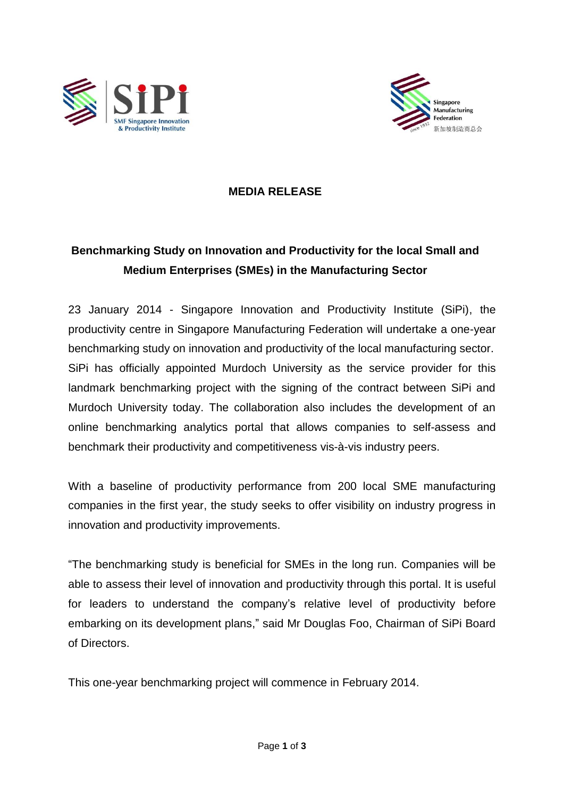



## **MEDIA RELEASE**

## **Benchmarking Study on Innovation and Productivity for the local Small and Medium Enterprises (SMEs) in the Manufacturing Sector**

23 January 2014 - Singapore Innovation and Productivity Institute (SiPi), the productivity centre in Singapore Manufacturing Federation will undertake a one-year benchmarking study on innovation and productivity of the local manufacturing sector. SiPi has officially appointed Murdoch University as the service provider for this landmark benchmarking project with the signing of the contract between SiPi and Murdoch University today. The collaboration also includes the development of an online benchmarking analytics portal that allows companies to self-assess and benchmark their productivity and competitiveness vis-à-vis industry peers.

With a baseline of productivity performance from 200 local SME manufacturing companies in the first year, the study seeks to offer visibility on industry progress in innovation and productivity improvements.

"The benchmarking study is beneficial for SMEs in the long run. Companies will be able to assess their level of innovation and productivity through this portal. It is useful for leaders to understand the company's relative level of productivity before embarking on its development plans," said Mr Douglas Foo, Chairman of SiPi Board of Directors.

This one-year benchmarking project will commence in February 2014.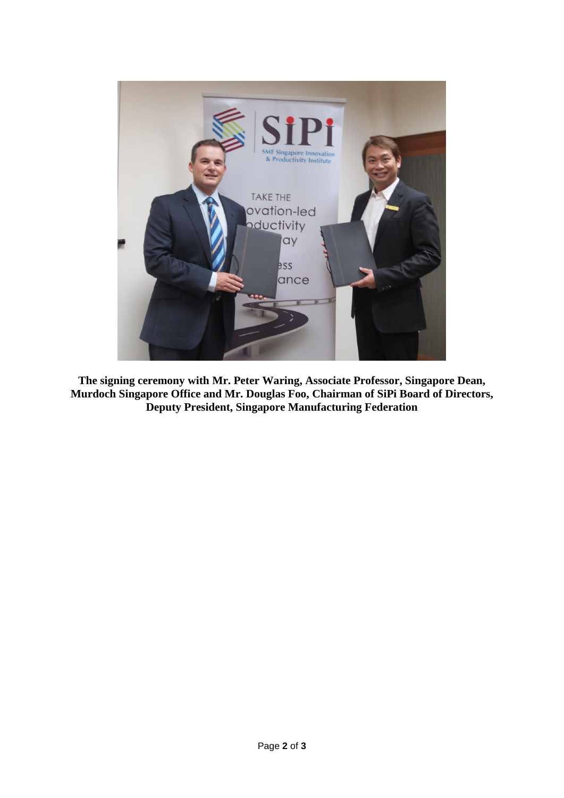

**The signing ceremony with Mr. Peter Waring, Associate Professor, Singapore Dean, Murdoch Singapore Office and Mr. Douglas Foo, Chairman of SiPi Board of Directors, Deputy President, Singapore Manufacturing Federation**